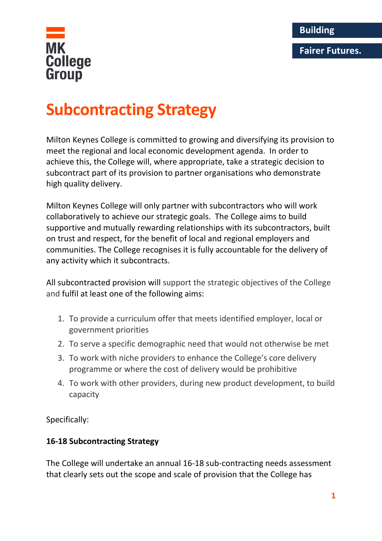## **Fairer Futures.**



## **Subcontracting Strategy**

Milton Keynes College is committed to growing and diversifying its provision to meet the regional and local economic development agenda. In order to achieve this, the College will, where appropriate, take a strategic decision to subcontract part of its provision to partner organisations who demonstrate high quality delivery.

Milton Keynes College will only partner with subcontractors who will work collaboratively to achieve our strategic goals. The College aims to build supportive and mutually rewarding relationships with its subcontractors, built on trust and respect, for the benefit of local and regional employers and communities. The College recognises it is fully accountable for the delivery of any activity which it subcontracts.

All subcontracted provision will support the strategic objectives of the College and fulfil at least one of the following aims:

- 1. To provide a curriculum offer that meets identified employer, local or government priorities
- 2. To serve a specific demographic need that would not otherwise be met
- 3. To work with niche providers to enhance the College's core delivery programme or where the cost of delivery would be prohibitive
- 4. To work with other providers, during new product development, to build capacity

Specifically:

## **16-18 Subcontracting Strategy**

The College will undertake an annual 16-18 sub-contracting needs assessment that clearly sets out the scope and scale of provision that the College has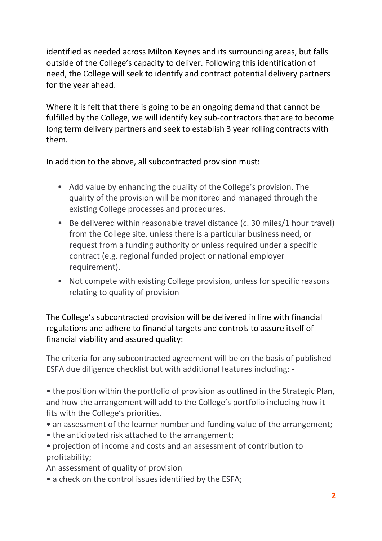identified as needed across Milton Keynes and its surrounding areas, but falls outside of the College's capacity to deliver. Following this identification of need, the College will seek to identify and contract potential delivery partners for the year ahead.

Where it is felt that there is going to be an ongoing demand that cannot be fulfilled by the College, we will identify key sub-contractors that are to become long term delivery partners and seek to establish 3 year rolling contracts with them.

In addition to the above, all subcontracted provision must:

- Add value by enhancing the quality of the College's provision. The quality of the provision will be monitored and managed through the existing College processes and procedures.
- Be delivered within reasonable travel distance (c. 30 miles/1 hour travel) from the College site, unless there is a particular business need, or request from a funding authority or unless required under a specific contract (e.g. regional funded project or national employer requirement).
- Not compete with existing College provision, unless for specific reasons relating to quality of provision

The College's subcontracted provision will be delivered in line with financial regulations and adhere to financial targets and controls to assure itself of financial viability and assured quality:

The criteria for any subcontracted agreement will be on the basis of published ESFA due diligence checklist but with additional features including: -

• the position within the portfolio of provision as outlined in the Strategic Plan, and how the arrangement will add to the College's portfolio including how it fits with the College's priorities.

- an assessment of the learner number and funding value of the arrangement;
- the anticipated risk attached to the arrangement;
- projection of income and costs and an assessment of contribution to profitability;

An assessment of quality of provision

• a check on the control issues identified by the ESFA;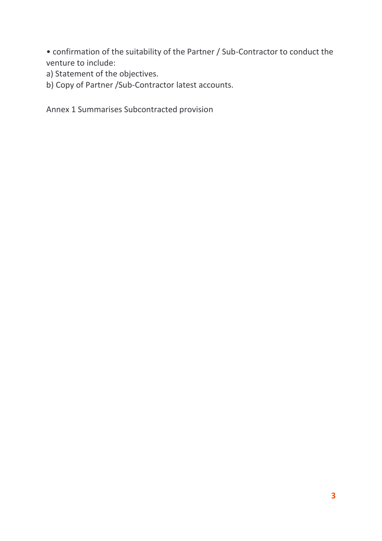• confirmation of the suitability of the Partner / Sub-Contractor to conduct the venture to include:

- a) Statement of the objectives.
- b) Copy of Partner /Sub-Contractor latest accounts.

Annex 1 Summarises Subcontracted provision